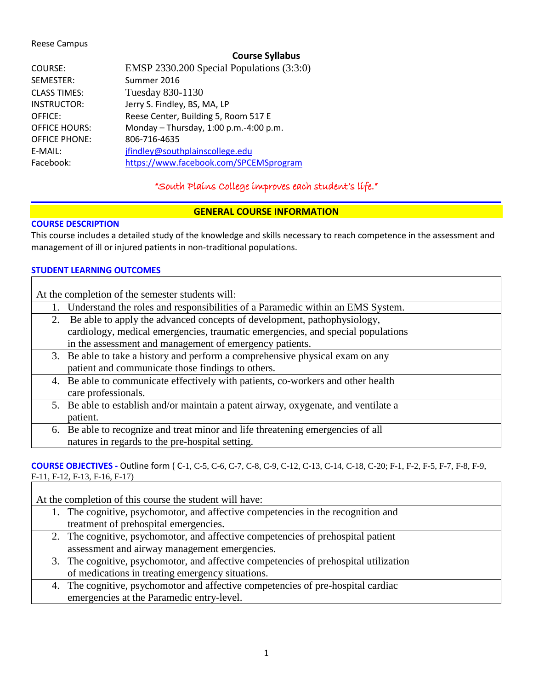### Reese Campus

### **Course Syllabus**

| COURSE:              | EMSP 2330.200 Special Populations (3:3:0) |
|----------------------|-------------------------------------------|
| SEMESTER:            | Summer 2016                               |
| <b>CLASS TIMES:</b>  | Tuesday 830-1130                          |
| <b>INSTRUCTOR:</b>   | Jerry S. Findley, BS, MA, LP              |
| <b>OFFICE:</b>       | Reese Center, Building 5, Room 517 E      |
| <b>OFFICE HOURS:</b> | Monday $-$ Thursday, 1:00 p.m.-4:00 p.m.  |
| <b>OFFICE PHONE:</b> | 806-716-4635                              |
| E-MAIL:              | jfindley@southplainscollege.edu           |
| Facebook:            | https://www.facebook.com/SPCEMSprogram    |

# "South Plains College improves each student's life."

### **GENERAL COURSE INFORMATION**

### **COURSE DESCRIPTION**

This course includes a detailed study of the knowledge and skills necessary to reach competence in the assessment and management of ill or injured patients in non-traditional populations.

### **STUDENT LEARNING OUTCOMES**

|    | At the completion of the semester students will:                                    |
|----|-------------------------------------------------------------------------------------|
|    | Understand the roles and responsibilities of a Paramedic within an EMS System.      |
| 2. | Be able to apply the advanced concepts of development, pathophysiology,             |
|    | cardiology, medical emergencies, traumatic emergencies, and special populations     |
|    | in the assessment and management of emergency patients.                             |
|    | 3. Be able to take a history and perform a comprehensive physical exam on any       |
|    | patient and communicate those findings to others.                                   |
|    | 4. Be able to communicate effectively with patients, co-workers and other health    |
|    | care professionals.                                                                 |
|    | 5. Be able to establish and/or maintain a patent airway, oxygenate, and ventilate a |
|    | patient.                                                                            |
|    | 6. Be able to recognize and treat minor and life threatening emergencies of all     |
|    | natures in regards to the pre-hospital setting.                                     |

### **COURSE OBJECTIVES -** Outline form ( C-1, C-5, C-6, C-7, C-8, C-9, C-12, C-13, C-14, C-18, C-20; F-1, F-2, F-5, F-7, F-8, F-9, F-11, F-12, F-13, F-16, F-17)

| At the completion of this course the student will have: |                                                                                      |  |
|---------------------------------------------------------|--------------------------------------------------------------------------------------|--|
|                                                         | 1. The cognitive, psychomotor, and affective competencies in the recognition and     |  |
|                                                         | treatment of prehospital emergencies.                                                |  |
|                                                         | 2. The cognitive, psychomotor, and affective competencies of prehospital patient     |  |
|                                                         | assessment and airway management emergencies.                                        |  |
|                                                         | 3. The cognitive, psychomotor, and affective competencies of prehospital utilization |  |
|                                                         | of medications in treating emergency situations.                                     |  |
|                                                         | 4. The cognitive, psychomotor and affective competencies of pre-hospital cardiac     |  |
|                                                         | emergencies at the Paramedic entry-level.                                            |  |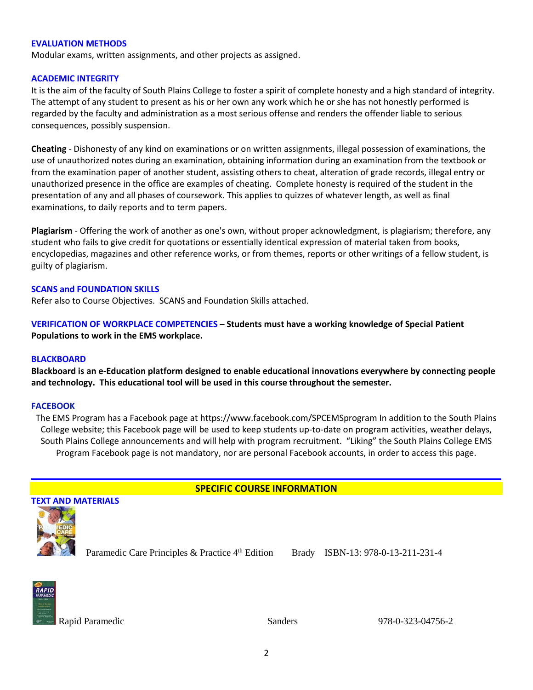#### **EVALUATION METHODS**

Modular exams, written assignments, and other projects as assigned.

#### **ACADEMIC INTEGRITY**

It is the aim of the faculty of South Plains College to foster a spirit of complete honesty and a high standard of integrity. The attempt of any student to present as his or her own any work which he or she has not honestly performed is regarded by the faculty and administration as a most serious offense and renders the offender liable to serious consequences, possibly suspension.

**Cheating** - Dishonesty of any kind on examinations or on written assignments, illegal possession of examinations, the use of unauthorized notes during an examination, obtaining information during an examination from the textbook or from the examination paper of another student, assisting others to cheat, alteration of grade records, illegal entry or unauthorized presence in the office are examples of cheating. Complete honesty is required of the student in the presentation of any and all phases of coursework. This applies to quizzes of whatever length, as well as final examinations, to daily reports and to term papers.

**Plagiarism** - Offering the work of another as one's own, without proper acknowledgment, is plagiarism; therefore, any student who fails to give credit for quotations or essentially identical expression of material taken from books, encyclopedias, magazines and other reference works, or from themes, reports or other writings of a fellow student, is guilty of plagiarism.

#### **SCANS and FOUNDATION SKILLS**

Refer also to Course Objectives. SCANS and Foundation Skills attached.

**VERIFICATION OF WORKPLACE COMPETENCIES** – **Students must have a working knowledge of Special Patient Populations to work in the EMS workplace.** 

#### **BLACKBOARD**

**Blackboard is an e-Education platform designed to enable educational innovations everywhere by connecting people and technology. This educational tool will be used in this course throughout the semester.** 

#### **FACEBOOK**

The EMS Program has a Facebook page at https://www.facebook.com/SPCEMSprogram In addition to the South Plains College website; this Facebook page will be used to keep students up-to-date on program activities, weather delays, South Plains College announcements and will help with program recruitment. "Liking" the South Plains College EMS Program Facebook page is not mandatory, nor are personal Facebook accounts, in order to access this page.

### **SPECIFIC COURSE INFORMATION**



Paramedic Care Principles & Practice 4th Edition Brady ISBN-13: 978-0-13-211-231-4



Rapid Paramedic and Sanders 978-0-323-04756-2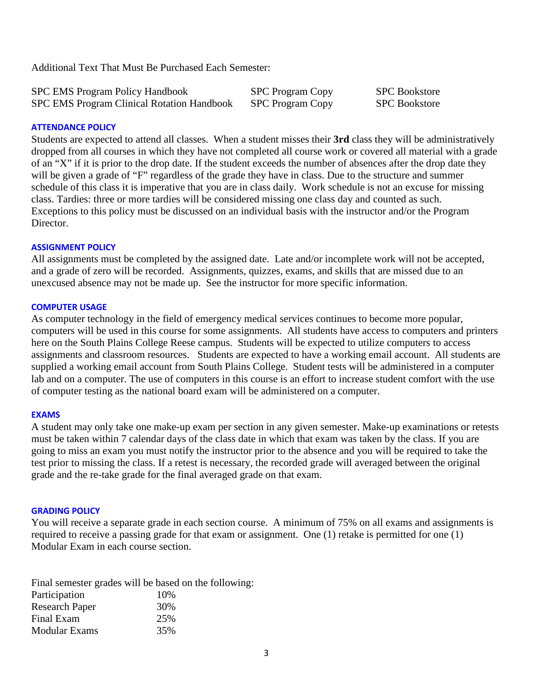Additional Text That Must Be Purchased Each Semester:

| <b>SPC EMS Program Policy Handbook</b>            | <b>SPC Program Copy</b> | <b>SPC</b> Bookstore |
|---------------------------------------------------|-------------------------|----------------------|
| <b>SPC EMS Program Clinical Rotation Handbook</b> | SPC Program Copy        | <b>SPC</b> Bookstore |

### **ATTENDANCE POLICY**

Students are expected to attend all classes. When a student misses their **3rd** class they will be administratively dropped from all courses in which they have not completed all course work or covered all material with a grade of an "X" if it is prior to the drop date. If the student exceeds the number of absences after the drop date they will be given a grade of "F" regardless of the grade they have in class. Due to the structure and summer schedule of this class it is imperative that you are in class daily. Work schedule is not an excuse for missing class. Tardies: three or more tardies will be considered missing one class day and counted as such. Exceptions to this policy must be discussed on an individual basis with the instructor and/or the Program Director.

### **ASSIGNMENT POLICY**

All assignments must be completed by the assigned date. Late and/or incomplete work will not be accepted, and a grade of zero will be recorded. Assignments, quizzes, exams, and skills that are missed due to an unexcused absence may not be made up. See the instructor for more specific information.

#### **COMPUTER USAGE**

As computer technology in the field of emergency medical services continues to become more popular, computers will be used in this course for some assignments. All students have access to computers and printers here on the South Plains College Reese campus. Students will be expected to utilize computers to access assignments and classroom resources. Students are expected to have a working email account. All students are supplied a working email account from South Plains College. Student tests will be administered in a computer lab and on a computer. The use of computers in this course is an effort to increase student comfort with the use of computer testing as the national board exam will be administered on a computer.

#### **EXAMS**

A student may only take one make-up exam per section in any given semester. Make-up examinations or retests must be taken within 7 calendar days of the class date in which that exam was taken by the class. If you are going to miss an exam you must notify the instructor prior to the absence and you will be required to take the test prior to missing the class. If a retest is necessary, the recorded grade will averaged between the original grade and the re-take grade for the final averaged grade on that exam.

#### **GRADING POLICY**

You will receive a separate grade in each section course. A minimum of 75% on all exams and assignments is required to receive a passing grade for that exam or assignment. One (1) retake is permitted for one (1) Modular Exam in each course section.

|                       | Final semester grades will be based on the following: |
|-----------------------|-------------------------------------------------------|
| Participation         | 10%                                                   |
| <b>Research Paper</b> | 30%                                                   |
| Final Exam            | 25%                                                   |
| Modular Exams         | 35%                                                   |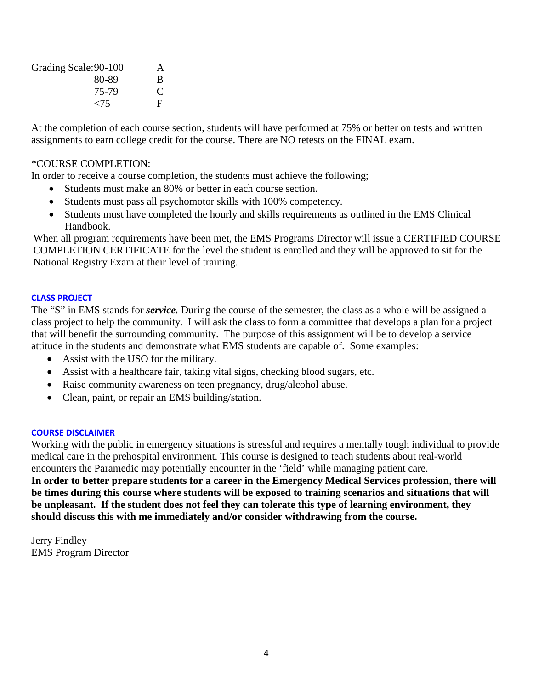| Grading Scale: 90-100 | A |
|-----------------------|---|
| 80-89                 | B |
| 75-79                 | € |
| $\langle 75$          | F |

At the completion of each course section, students will have performed at 75% or better on tests and written assignments to earn college credit for the course. There are NO retests on the FINAL exam.

## \*COURSE COMPLETION:

In order to receive a course completion, the students must achieve the following;

- Students must make an 80% or better in each course section.
- Students must pass all psychomotor skills with 100% competency.
- Students must have completed the hourly and skills requirements as outlined in the EMS Clinical Handbook.

When all program requirements have been met, the EMS Programs Director will issue a CERTIFIED COURSE COMPLETION CERTIFICATE for the level the student is enrolled and they will be approved to sit for the National Registry Exam at their level of training.

### **CLASS PROJECT**

The "S" in EMS stands for *service.* During the course of the semester, the class as a whole will be assigned a class project to help the community. I will ask the class to form a committee that develops a plan for a project that will benefit the surrounding community. The purpose of this assignment will be to develop a service attitude in the students and demonstrate what EMS students are capable of. Some examples:

- Assist with the USO for the military.
- Assist with a healthcare fair, taking vital signs, checking blood sugars, etc.
- Raise community awareness on teen pregnancy, drug/alcohol abuse.
- Clean, paint, or repair an EMS building/station.

### **COURSE DISCLAIMER**

Working with the public in emergency situations is stressful and requires a mentally tough individual to provide medical care in the prehospital environment. This course is designed to teach students about real-world encounters the Paramedic may potentially encounter in the 'field' while managing patient care.

**In order to better prepare students for a career in the Emergency Medical Services profession, there will be times during this course where students will be exposed to training scenarios and situations that will be unpleasant. If the student does not feel they can tolerate this type of learning environment, they should discuss this with me immediately and/or consider withdrawing from the course.**

Jerry Findley EMS Program Director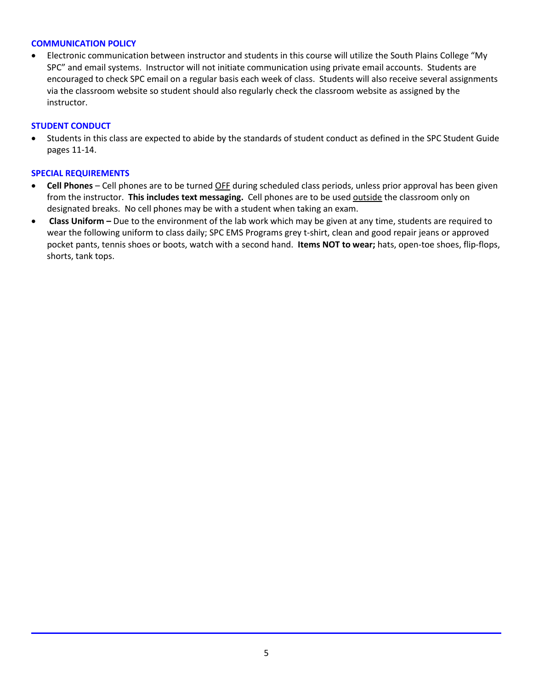### **COMMUNICATION POLICY**

• Electronic communication between instructor and students in this course will utilize the South Plains College "My SPC" and email systems. Instructor will not initiate communication using private email accounts. Students are encouraged to check SPC email on a regular basis each week of class. Students will also receive several assignments via the classroom website so student should also regularly check the classroom website as assigned by the instructor.

### **STUDENT CONDUCT**

• Students in this class are expected to abide by the standards of student conduct as defined in the SPC Student Guide pages 11-14.

#### **SPECIAL REQUIREMENTS**

- **Cell Phones** Cell phones are to be turned OFF during scheduled class periods, unless prior approval has been given from the instructor. **This includes text messaging.** Cell phones are to be used outside the classroom only on designated breaks. No cell phones may be with a student when taking an exam.
- **Class Uniform –** Due to the environment of the lab work which may be given at any time, students are required to wear the following uniform to class daily; SPC EMS Programs grey t-shirt, clean and good repair jeans or approved pocket pants, tennis shoes or boots, watch with a second hand. **Items NOT to wear;** hats, open-toe shoes, flip-flops, shorts, tank tops.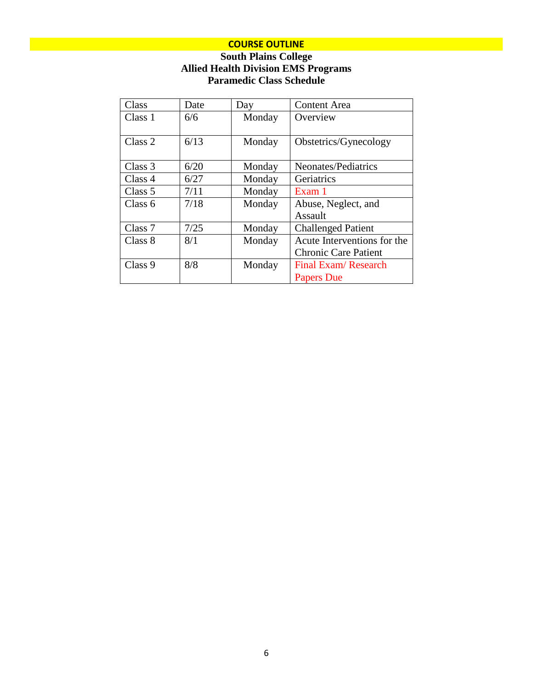## **COURSE OUTLINE**

## **South Plains College Allied Health Division EMS Programs Paramedic Class Schedule**

| Class   | Date | Day    | <b>Content Area</b>         |
|---------|------|--------|-----------------------------|
| Class 1 | 6/6  | Monday | Overview                    |
|         |      |        |                             |
| Class 2 | 6/13 | Monday | Obstetrics/Gynecology       |
|         |      |        |                             |
| Class 3 | 6/20 | Monday | Neonates/Pediatrics         |
| Class 4 | 6/27 | Monday | Geriatrics                  |
| Class 5 | 7/11 | Monday | Exam 1                      |
| Class 6 | 7/18 | Monday | Abuse, Neglect, and         |
|         |      |        | Assault                     |
| Class 7 | 7/25 | Monday | <b>Challenged Patient</b>   |
| Class 8 | 8/1  | Monday | Acute Interventions for the |
|         |      |        | <b>Chronic Care Patient</b> |
| Class 9 | 8/8  | Monday | Final Exam/Research         |
|         |      |        | <b>Papers Due</b>           |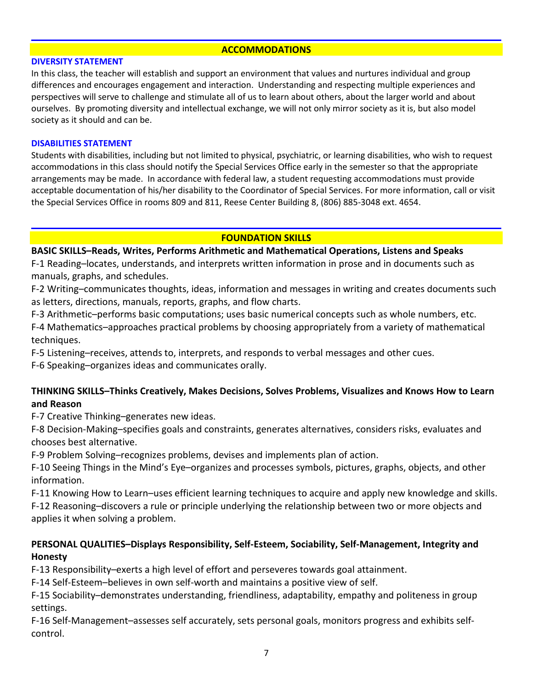### **ACCOMMODATIONS**

#### **DIVERSITY STATEMENT**

In this class, the teacher will establish and support an environment that values and nurtures individual and group differences and encourages engagement and interaction. Understanding and respecting multiple experiences and perspectives will serve to challenge and stimulate all of us to learn about others, about the larger world and about ourselves. By promoting diversity and intellectual exchange, we will not only mirror society as it is, but also model society as it should and can be.

### **DISABILITIES STATEMENT**

Students with disabilities, including but not limited to physical, psychiatric, or learning disabilities, who wish to request accommodations in this class should notify the Special Services Office early in the semester so that the appropriate arrangements may be made. In accordance with federal law, a student requesting accommodations must provide acceptable documentation of his/her disability to the Coordinator of Special Services. For more information, call or visit the Special Services Office in rooms 809 and 811, Reese Center Building 8, (806) 885-3048 ext. 4654.

### **FOUNDATION SKILLS**

### **BASIC SKILLS–Reads, Writes, Performs Arithmetic and Mathematical Operations, Listens and Speaks**

F-1 Reading–locates, understands, and interprets written information in prose and in documents such as manuals, graphs, and schedules.

F-2 Writing–communicates thoughts, ideas, information and messages in writing and creates documents such as letters, directions, manuals, reports, graphs, and flow charts.

F-3 Arithmetic–performs basic computations; uses basic numerical concepts such as whole numbers, etc.

F-4 Mathematics–approaches practical problems by choosing appropriately from a variety of mathematical techniques.

F-5 Listening–receives, attends to, interprets, and responds to verbal messages and other cues.

F-6 Speaking–organizes ideas and communicates orally.

## **THINKING SKILLS–Thinks Creatively, Makes Decisions, Solves Problems, Visualizes and Knows How to Learn and Reason**

F-7 Creative Thinking–generates new ideas.

F-8 Decision-Making–specifies goals and constraints, generates alternatives, considers risks, evaluates and chooses best alternative.

F-9 Problem Solving–recognizes problems, devises and implements plan of action.

F-10 Seeing Things in the Mind's Eye–organizes and processes symbols, pictures, graphs, objects, and other information.

F-11 Knowing How to Learn–uses efficient learning techniques to acquire and apply new knowledge and skills. F-12 Reasoning–discovers a rule or principle underlying the relationship between two or more objects and applies it when solving a problem.

## **PERSONAL QUALITIES–Displays Responsibility, Self-Esteem, Sociability, Self-Management, Integrity and Honesty**

F-13 Responsibility–exerts a high level of effort and perseveres towards goal attainment.

F-14 Self-Esteem–believes in own self-worth and maintains a positive view of self.

F-15 Sociability–demonstrates understanding, friendliness, adaptability, empathy and politeness in group settings.

F-16 Self-Management–assesses self accurately, sets personal goals, monitors progress and exhibits selfcontrol.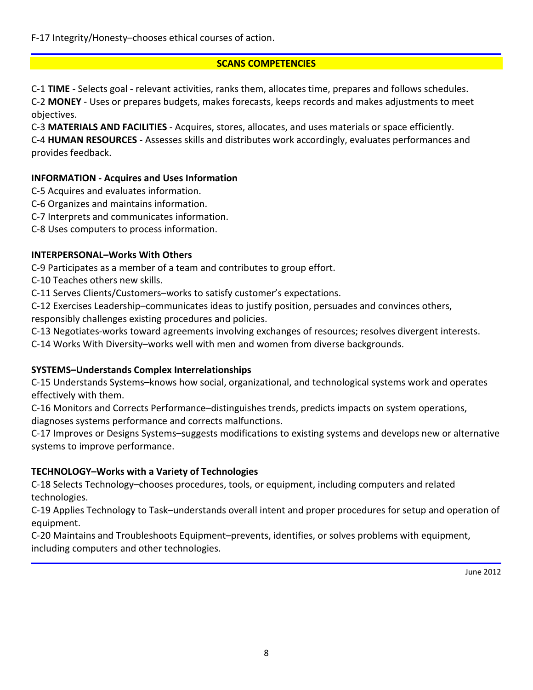F-17 Integrity/Honesty–chooses ethical courses of action.

## **SCANS COMPETENCIES**

C-1 **TIME** - Selects goal - relevant activities, ranks them, allocates time, prepares and follows schedules. C-2 **MONEY** - Uses or prepares budgets, makes forecasts, keeps records and makes adjustments to meet objectives.

C-3 **MATERIALS AND FACILITIES** - Acquires, stores, allocates, and uses materials or space efficiently.

C-4 **HUMAN RESOURCES** - Assesses skills and distributes work accordingly, evaluates performances and provides feedback.

# **INFORMATION - Acquires and Uses Information**

- C-5 Acquires and evaluates information.
- C-6 Organizes and maintains information.
- C-7 Interprets and communicates information.
- C-8 Uses computers to process information.

# **INTERPERSONAL–Works With Others**

C-9 Participates as a member of a team and contributes to group effort.

C-10 Teaches others new skills.

C-11 Serves Clients/Customers–works to satisfy customer's expectations.

C-12 Exercises Leadership–communicates ideas to justify position, persuades and convinces others, responsibly challenges existing procedures and policies.

C-13 Negotiates-works toward agreements involving exchanges of resources; resolves divergent interests.

C-14 Works With Diversity–works well with men and women from diverse backgrounds.

# **SYSTEMS–Understands Complex Interrelationships**

C-15 Understands Systems–knows how social, organizational, and technological systems work and operates effectively with them.

C-16 Monitors and Corrects Performance–distinguishes trends, predicts impacts on system operations, diagnoses systems performance and corrects malfunctions.

C-17 Improves or Designs Systems–suggests modifications to existing systems and develops new or alternative systems to improve performance.

# **TECHNOLOGY–Works with a Variety of Technologies**

C-18 Selects Technology–chooses procedures, tools, or equipment, including computers and related technologies.

C-19 Applies Technology to Task–understands overall intent and proper procedures for setup and operation of equipment.

C-20 Maintains and Troubleshoots Equipment–prevents, identifies, or solves problems with equipment, including computers and other technologies.

June 2012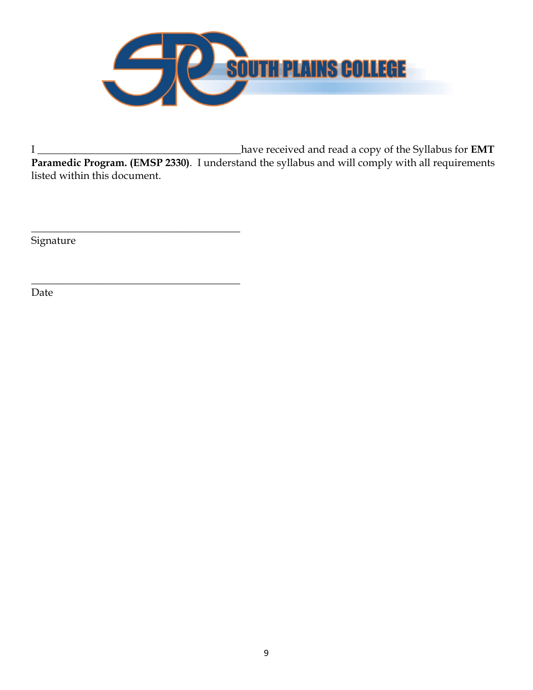

I \_\_\_\_\_\_\_\_\_\_\_\_\_\_\_\_\_\_\_\_\_\_\_\_\_\_\_\_\_\_\_\_\_\_\_\_\_\_\_have received and read a copy of the Syllabus for **EMT Paramedic Program. (EMSP 2330)**. I understand the syllabus and will comply with all requirements listed within this document.

Signature

\_\_\_\_\_\_\_\_\_\_\_\_\_\_\_\_\_\_\_\_\_\_\_\_\_\_\_\_\_\_\_\_\_\_\_\_\_\_\_\_

\_\_\_\_\_\_\_\_\_\_\_\_\_\_\_\_\_\_\_\_\_\_\_\_\_\_\_\_\_\_\_\_\_\_\_\_\_\_\_\_

Date